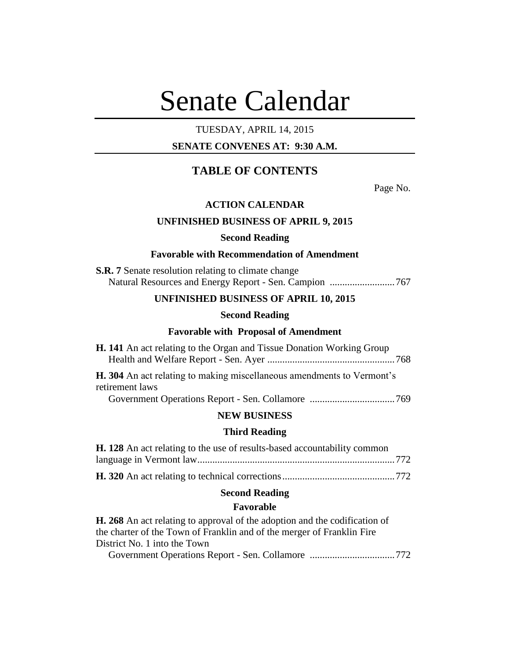# Senate Calendar

## TUESDAY, APRIL 14, 2015

# **SENATE CONVENES AT: 9:30 A.M.**

# **TABLE OF CONTENTS**

Page No.

## **ACTION CALENDAR**

#### **UNFINISHED BUSINESS OF APRIL 9, 2015**

#### **Second Reading**

#### **Favorable with Recommendation of Amendment**

| <b>S.R. 7</b> Senate resolution relating to climate change |  |
|------------------------------------------------------------|--|
|                                                            |  |

## **UNFINISHED BUSINESS OF APRIL 10, 2015**

## **Second Reading**

#### **Favorable with Proposal of Amendment**

| <b>H. 141</b> An act relating to the Organ and Tissue Donation Working Group |  |
|------------------------------------------------------------------------------|--|
|                                                                              |  |
| H. 304 An act relating to making miscellaneous amendments to Vermont's       |  |

retirement laws Government Operations Report - Sen. Collamore ..................................769

#### **NEW BUSINESS**

#### **Third Reading**

| <b>H. 128</b> An act relating to the use of results-based accountability common |  |
|---------------------------------------------------------------------------------|--|
|                                                                                 |  |
|                                                                                 |  |

#### **Second Reading**

#### **Favorable**

**H. 268** An act relating to approval of the adoption and the codification of the charter of the Town of Franklin and of the merger of Franklin Fire District No. 1 into the Town

Government Operations Report - Sen. Collamore ..................................772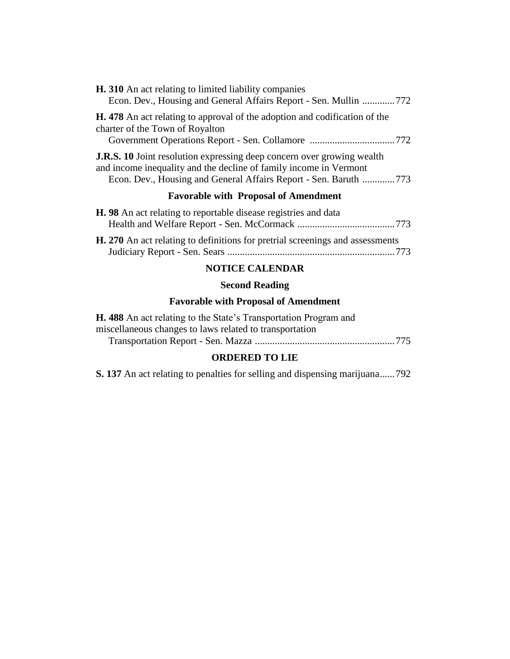| <b>H.</b> 310 An act relating to limited liability companies<br>Econ. Dev., Housing and General Affairs Report - Sen. Mullin 772                                                                                       |
|------------------------------------------------------------------------------------------------------------------------------------------------------------------------------------------------------------------------|
| <b>H.</b> 478 An act relating to approval of the adoption and codification of the<br>charter of the Town of Royalton                                                                                                   |
| <b>J.R.S. 10</b> Joint resolution expressing deep concern over growing wealth<br>and income inequality and the decline of family income in Vermont<br>Econ. Dev., Housing and General Affairs Report - Sen. Baruth 773 |
| <b>Favorable with Proposal of Amendment</b>                                                                                                                                                                            |
| <b>H.</b> 98 An act relating to reportable disease registries and data                                                                                                                                                 |

**H. 270** An act relating to definitions for pretrial screenings and assessments Judiciary Report - Sen. Sears ...................................................................773

## **NOTICE CALENDAR**

# **Second Reading**

# **Favorable with Proposal of Amendment**

| <b>H.</b> 488 An act relating to the State's Transportation Program and |  |
|-------------------------------------------------------------------------|--|
| miscellaneous changes to laws related to transportation                 |  |
|                                                                         |  |

# **ORDERED TO LIE**

**S. 137** An act relating to penalties for selling and dispensing marijuana......792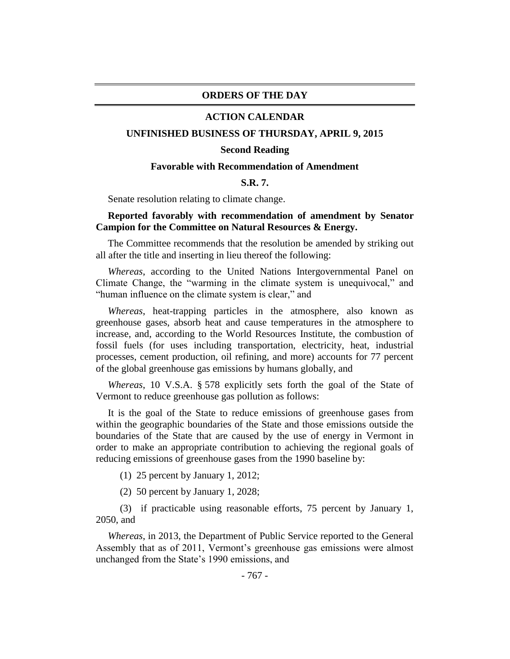#### **ORDERS OF THE DAY**

#### **ACTION CALENDAR**

#### **UNFINISHED BUSINESS OF THURSDAY, APRIL 9, 2015**

#### **Second Reading**

#### **Favorable with Recommendation of Amendment**

## **S.R. 7.**

Senate resolution relating to climate change.

## **Reported favorably with recommendation of amendment by Senator Campion for the Committee on Natural Resources & Energy.**

The Committee recommends that the resolution be amended by striking out all after the title and inserting in lieu thereof the following:

*Whereas*, according to the United Nations Intergovernmental Panel on Climate Change, the "warming in the climate system is unequivocal," and "human influence on the climate system is clear," and

*Whereas*, heat-trapping particles in the atmosphere, also known as greenhouse gases, absorb heat and cause temperatures in the atmosphere to increase, and, according to the World Resources Institute, the combustion of fossil fuels (for uses including transportation, electricity, heat, industrial processes, cement production, oil refining, and more) accounts for 77 percent of the global greenhouse gas emissions by humans globally, and

*Whereas*, 10 V.S.A. § 578 explicitly sets forth the goal of the State of Vermont to reduce greenhouse gas pollution as follows:

It is the goal of the State to reduce emissions of greenhouse gases from within the geographic boundaries of the State and those emissions outside the boundaries of the State that are caused by the use of energy in Vermont in order to make an appropriate contribution to achieving the regional goals of reducing emissions of greenhouse gases from the 1990 baseline by:

(1) 25 percent by January 1, 2012;

(2) 50 percent by January 1, 2028;

(3) if practicable using reasonable efforts, 75 percent by January 1, 2050, and

*Whereas*, in 2013, the Department of Public Service reported to the General Assembly that as of 2011, Vermont's greenhouse gas emissions were almost unchanged from the State's 1990 emissions, and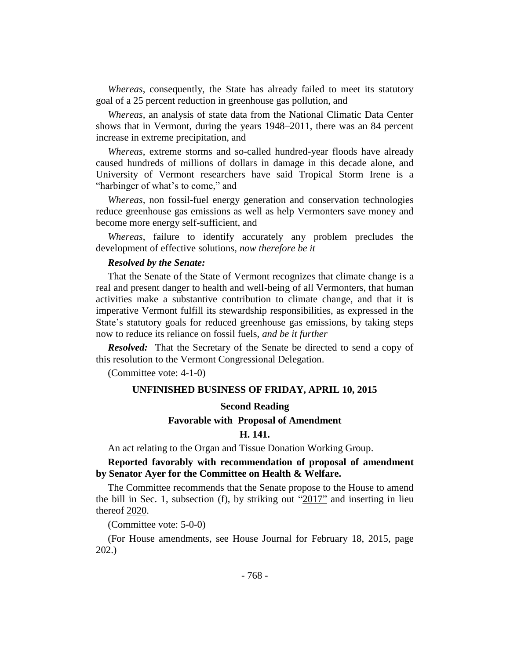*Whereas*, consequently, the State has already failed to meet its statutory goal of a 25 percent reduction in greenhouse gas pollution, and

*Whereas,* an analysis of state data from the National Climatic Data Center shows that in Vermont, during the years 1948–2011, there was an 84 percent increase in extreme precipitation, and

*Whereas*, extreme storms and so-called hundred-year floods have already caused hundreds of millions of dollars in damage in this decade alone, and University of Vermont researchers have said Tropical Storm Irene is a "harbinger of what's to come," and

*Whereas,* non fossil-fuel energy generation and conservation technologies reduce greenhouse gas emissions as well as help Vermonters save money and become more energy self-sufficient, and

*Whereas*, failure to identify accurately any problem precludes the development of effective solutions, *now therefore be it*

## *Resolved by the Senate:*

That the Senate of the State of Vermont recognizes that climate change is a real and present danger to health and well-being of all Vermonters, that human activities make a substantive contribution to climate change, and that it is imperative Vermont fulfill its stewardship responsibilities, as expressed in the State's statutory goals for reduced greenhouse gas emissions, by taking steps now to reduce its reliance on fossil fuels, *and be it further*

*Resolved:* That the Secretary of the Senate be directed to send a copy of this resolution to the Vermont Congressional Delegation.

(Committee vote: 4-1-0)

#### **UNFINISHED BUSINESS OF FRIDAY, APRIL 10, 2015**

#### **Second Reading**

## **Favorable with Proposal of Amendment**

#### **H. 141.**

An act relating to the Organ and Tissue Donation Working Group.

## **Reported favorably with recommendation of proposal of amendment by Senator Ayer for the Committee on Health & Welfare.**

The Committee recommends that the Senate propose to the House to amend the bill in Sec. 1, subsection (f), by striking out " $2017$ " and inserting in lieu thereof 2020.

(Committee vote: 5-0-0)

(For House amendments, see House Journal for February 18, 2015, page 202.)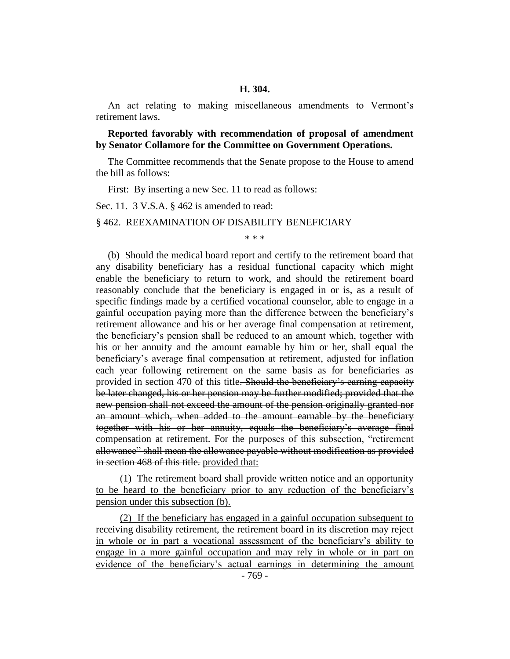## **H. 304.**

An act relating to making miscellaneous amendments to Vermont's retirement laws.

**Reported favorably with recommendation of proposal of amendment by Senator Collamore for the Committee on Government Operations.**

The Committee recommends that the Senate propose to the House to amend the bill as follows:

First: By inserting a new Sec. 11 to read as follows:

Sec. 11. 3 V.S.A. § 462 is amended to read:

§ 462. REEXAMINATION OF DISABILITY BENEFICIARY

\* \* \*

(b) Should the medical board report and certify to the retirement board that any disability beneficiary has a residual functional capacity which might enable the beneficiary to return to work, and should the retirement board reasonably conclude that the beneficiary is engaged in or is, as a result of specific findings made by a certified vocational counselor, able to engage in a gainful occupation paying more than the difference between the beneficiary's retirement allowance and his or her average final compensation at retirement, the beneficiary's pension shall be reduced to an amount which, together with his or her annuity and the amount earnable by him or her, shall equal the beneficiary's average final compensation at retirement, adjusted for inflation each year following retirement on the same basis as for beneficiaries as provided in section 470 of this title. Should the beneficiary's earning capacity be later changed, his or her pension may be further modified; provided that the new pension shall not exceed the amount of the pension originally granted nor an amount which, when added to the amount earnable by the beneficiary together with his or her annuity, equals the beneficiary's average final compensation at retirement. For the purposes of this subsection, "retirement allowance" shall mean the allowance payable without modification as provided in section 468 of this title. provided that:

(1) The retirement board shall provide written notice and an opportunity to be heard to the beneficiary prior to any reduction of the beneficiary's pension under this subsection (b).

(2) If the beneficiary has engaged in a gainful occupation subsequent to receiving disability retirement, the retirement board in its discretion may reject in whole or in part a vocational assessment of the beneficiary's ability to engage in a more gainful occupation and may rely in whole or in part on evidence of the beneficiary's actual earnings in determining the amount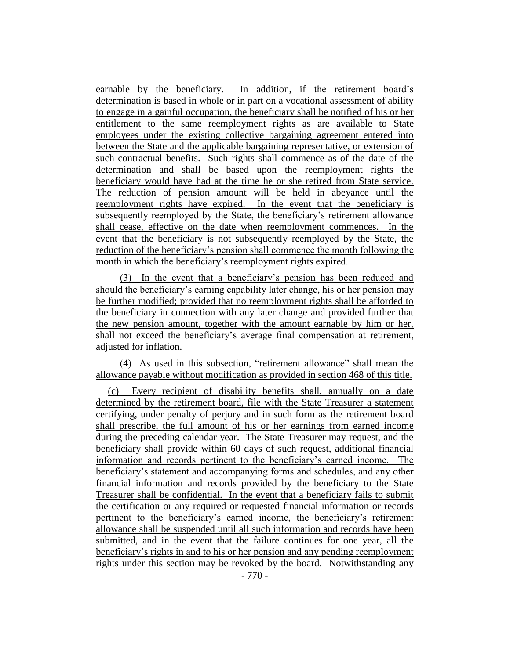earnable by the beneficiary. In addition, if the retirement board's determination is based in whole or in part on a vocational assessment of ability to engage in a gainful occupation, the beneficiary shall be notified of his or her entitlement to the same reemployment rights as are available to State employees under the existing collective bargaining agreement entered into between the State and the applicable bargaining representative, or extension of such contractual benefits. Such rights shall commence as of the date of the determination and shall be based upon the reemployment rights the beneficiary would have had at the time he or she retired from State service. The reduction of pension amount will be held in abeyance until the reemployment rights have expired. In the event that the beneficiary is subsequently reemployed by the State, the beneficiary's retirement allowance shall cease, effective on the date when reemployment commences. In the event that the beneficiary is not subsequently reemployed by the State, the reduction of the beneficiary's pension shall commence the month following the month in which the beneficiary's reemployment rights expired.

(3) In the event that a beneficiary's pension has been reduced and should the beneficiary's earning capability later change, his or her pension may be further modified; provided that no reemployment rights shall be afforded to the beneficiary in connection with any later change and provided further that the new pension amount, together with the amount earnable by him or her, shall not exceed the beneficiary's average final compensation at retirement, adjusted for inflation.

(4) As used in this subsection, "retirement allowance" shall mean the allowance payable without modification as provided in section 468 of this title.

(c) Every recipient of disability benefits shall, annually on a date determined by the retirement board, file with the State Treasurer a statement certifying, under penalty of perjury and in such form as the retirement board shall prescribe, the full amount of his or her earnings from earned income during the preceding calendar year. The State Treasurer may request, and the beneficiary shall provide within 60 days of such request, additional financial information and records pertinent to the beneficiary's earned income. The beneficiary's statement and accompanying forms and schedules, and any other financial information and records provided by the beneficiary to the State Treasurer shall be confidential. In the event that a beneficiary fails to submit the certification or any required or requested financial information or records pertinent to the beneficiary's earned income, the beneficiary's retirement allowance shall be suspended until all such information and records have been submitted, and in the event that the failure continues for one year, all the beneficiary's rights in and to his or her pension and any pending reemployment rights under this section may be revoked by the board. Notwithstanding any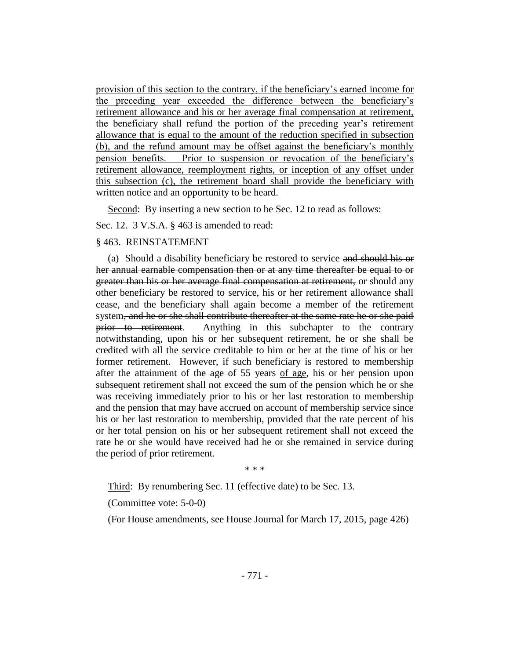provision of this section to the contrary, if the beneficiary's earned income for the preceding year exceeded the difference between the beneficiary's retirement allowance and his or her average final compensation at retirement, the beneficiary shall refund the portion of the preceding year's retirement allowance that is equal to the amount of the reduction specified in subsection (b), and the refund amount may be offset against the beneficiary's monthly pension benefits. Prior to suspension or revocation of the beneficiary's retirement allowance, reemployment rights, or inception of any offset under this subsection (c), the retirement board shall provide the beneficiary with written notice and an opportunity to be heard.

Second: By inserting a new section to be Sec. 12 to read as follows:

Sec. 12. 3 V.S.A. § 463 is amended to read:

#### § 463. REINSTATEMENT

(a) Should a disability beneficiary be restored to service and should his or her annual earnable compensation then or at any time thereafter be equal to or greater than his or her average final compensation at retirement, or should any other beneficiary be restored to service, his or her retirement allowance shall cease, and the beneficiary shall again become a member of the retirement system, and he or she shall contribute thereafter at the same rate he or she paid prior to retirement. Anything in this subchapter to the contrary notwithstanding, upon his or her subsequent retirement, he or she shall be credited with all the service creditable to him or her at the time of his or her former retirement. However, if such beneficiary is restored to membership after the attainment of the age of 55 years of age, his or her pension upon subsequent retirement shall not exceed the sum of the pension which he or she was receiving immediately prior to his or her last restoration to membership and the pension that may have accrued on account of membership service since his or her last restoration to membership, provided that the rate percent of his or her total pension on his or her subsequent retirement shall not exceed the rate he or she would have received had he or she remained in service during the period of prior retirement.

\* \* \*

Third: By renumbering Sec. 11 (effective date) to be Sec. 13.

(Committee vote: 5-0-0)

(For House amendments, see House Journal for March 17, 2015, page 426)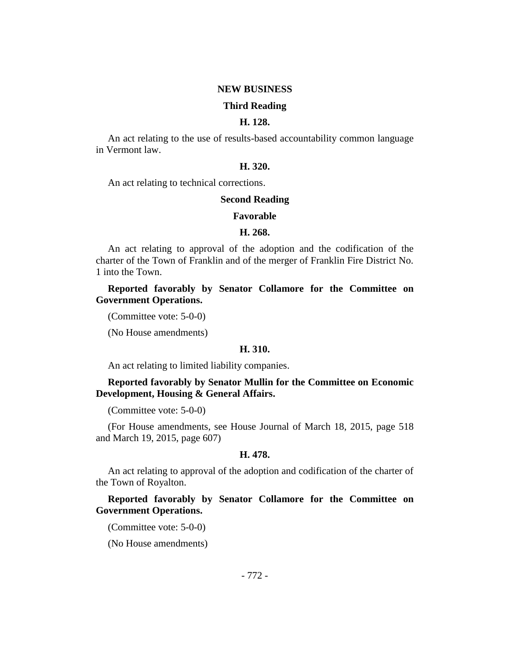#### **NEW BUSINESS**

#### **Third Reading**

## **H. 128.**

An act relating to the use of results-based accountability common language in Vermont law.

## **H. 320.**

An act relating to technical corrections.

#### **Second Reading**

#### **Favorable**

#### **H. 268.**

An act relating to approval of the adoption and the codification of the charter of the Town of Franklin and of the merger of Franklin Fire District No. 1 into the Town.

**Reported favorably by Senator Collamore for the Committee on Government Operations.**

(Committee vote: 5-0-0)

(No House amendments)

#### **H. 310.**

An act relating to limited liability companies.

## **Reported favorably by Senator Mullin for the Committee on Economic Development, Housing & General Affairs.**

(Committee vote: 5-0-0)

(For House amendments, see House Journal of March 18, 2015, page 518 and March 19, 2015, page 607)

#### **H. 478.**

An act relating to approval of the adoption and codification of the charter of the Town of Royalton.

**Reported favorably by Senator Collamore for the Committee on Government Operations.**

(Committee vote: 5-0-0)

(No House amendments)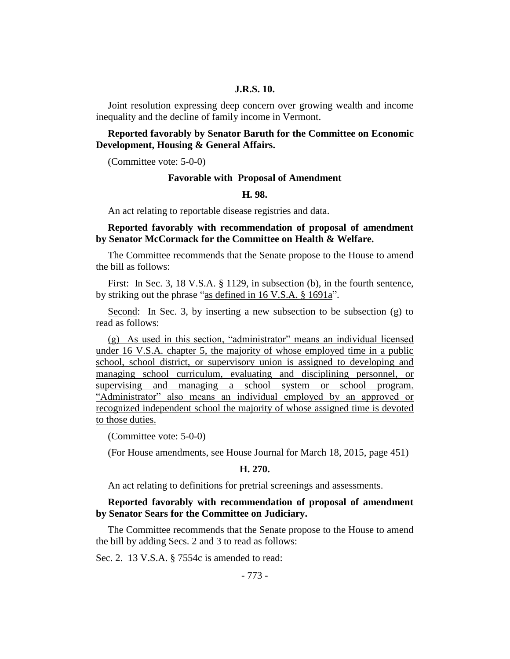## **J.R.S. 10.**

Joint resolution expressing deep concern over growing wealth and income inequality and the decline of family income in Vermont.

## **Reported favorably by Senator Baruth for the Committee on Economic Development, Housing & General Affairs.**

(Committee vote: 5-0-0)

#### **Favorable with Proposal of Amendment**

#### **H. 98.**

An act relating to reportable disease registries and data.

## **Reported favorably with recommendation of proposal of amendment by Senator McCormack for the Committee on Health & Welfare.**

The Committee recommends that the Senate propose to the House to amend the bill as follows:

First: In Sec. 3, 18 V.S.A. § 1129, in subsection (b), in the fourth sentence, by striking out the phrase "as defined in 16 V.S.A. § 1691a".

Second: In Sec. 3, by inserting a new subsection to be subsection (g) to read as follows:

(g) As used in this section, "administrator" means an individual licensed under 16 V.S.A. chapter 5, the majority of whose employed time in a public school, school district, or supervisory union is assigned to developing and managing school curriculum, evaluating and disciplining personnel, or supervising and managing a school system or school program. "Administrator" also means an individual employed by an approved or recognized independent school the majority of whose assigned time is devoted to those duties.

(Committee vote: 5-0-0)

(For House amendments, see House Journal for March 18, 2015, page 451)

#### **H. 270.**

An act relating to definitions for pretrial screenings and assessments.

#### **Reported favorably with recommendation of proposal of amendment by Senator Sears for the Committee on Judiciary.**

The Committee recommends that the Senate propose to the House to amend the bill by adding Secs. 2 and 3 to read as follows:

Sec. 2. 13 V.S.A. § 7554c is amended to read: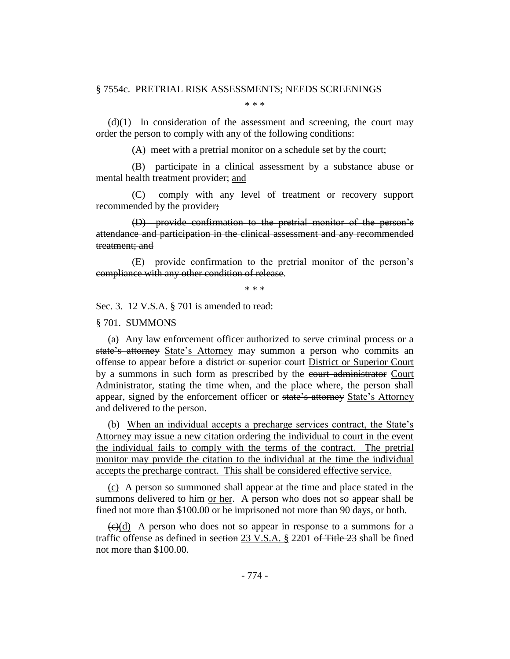#### § 7554c. PRETRIAL RISK ASSESSMENTS; NEEDS SCREENINGS

\* \* \*

 $(d)(1)$  In consideration of the assessment and screening, the court may order the person to comply with any of the following conditions:

(A) meet with a pretrial monitor on a schedule set by the court;

(B) participate in a clinical assessment by a substance abuse or mental health treatment provider; and

(C) comply with any level of treatment or recovery support recommended by the provider;

(D) provide confirmation to the pretrial monitor of the person's attendance and participation in the clinical assessment and any recommended treatment; and

(E) provide confirmation to the pretrial monitor of the person's compliance with any other condition of release.

\* \* \*

Sec. 3. 12 V.S.A. § 701 is amended to read:

§ 701. SUMMONS

(a) Any law enforcement officer authorized to serve criminal process or a state's attorney State's Attorney may summon a person who commits an offense to appear before a district or superior court District or Superior Court by a summons in such form as prescribed by the court administrator Court Administrator, stating the time when, and the place where, the person shall appear, signed by the enforcement officer or state's attorney State's Attorney and delivered to the person.

(b) When an individual accepts a precharge services contract, the State's Attorney may issue a new citation ordering the individual to court in the event the individual fails to comply with the terms of the contract. The pretrial monitor may provide the citation to the individual at the time the individual accepts the precharge contract. This shall be considered effective service.

(c) A person so summoned shall appear at the time and place stated in the summons delivered to him or her. A person who does not so appear shall be fined not more than \$100.00 or be imprisoned not more than 90 days, or both.

 $\left(\frac{c}{c}\right)$  A person who does not so appear in response to a summons for a traffic offense as defined in section 23 V.S.A. § 2201 of Title 23 shall be fined not more than \$100.00.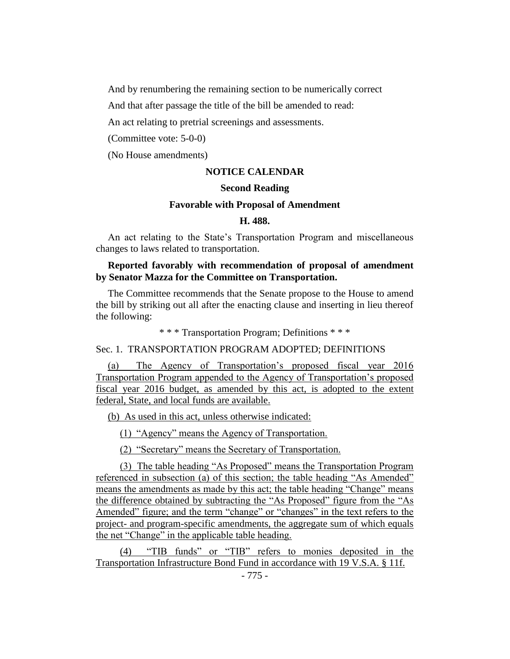And by renumbering the remaining section to be numerically correct

And that after passage the title of the bill be amended to read:

An act relating to pretrial screenings and assessments.

(Committee vote: 5-0-0)

(No House amendments)

## **NOTICE CALENDAR**

#### **Second Reading**

#### **Favorable with Proposal of Amendment**

#### **H. 488.**

An act relating to the State's Transportation Program and miscellaneous changes to laws related to transportation.

## **Reported favorably with recommendation of proposal of amendment by Senator Mazza for the Committee on Transportation.**

The Committee recommends that the Senate propose to the House to amend the bill by striking out all after the enacting clause and inserting in lieu thereof the following:

\* \* \* Transportation Program; Definitions \* \* \*

## Sec. 1. TRANSPORTATION PROGRAM ADOPTED; DEFINITIONS

(a) The Agency of Transportation's proposed fiscal year 2016 Transportation Program appended to the Agency of Transportation's proposed fiscal year 2016 budget, as amended by this act, is adopted to the extent federal, State, and local funds are available.

(b) As used in this act, unless otherwise indicated:

(1) "Agency" means the Agency of Transportation.

(2) "Secretary" means the Secretary of Transportation.

(3) The table heading "As Proposed" means the Transportation Program referenced in subsection (a) of this section; the table heading "As Amended" means the amendments as made by this act; the table heading "Change" means the difference obtained by subtracting the "As Proposed" figure from the "As Amended" figure; and the term "change" or "changes" in the text refers to the project- and program-specific amendments, the aggregate sum of which equals the net "Change" in the applicable table heading.

(4) "TIB funds" or "TIB" refers to monies deposited in the Transportation Infrastructure Bond Fund in accordance with 19 V.S.A. § 11f.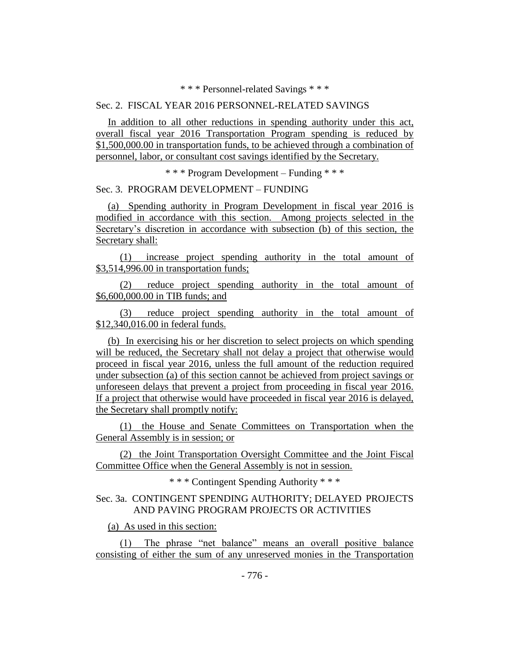\* \* \* Personnel-related Savings \* \* \*

## Sec. 2. FISCAL YEAR 2016 PERSONNEL-RELATED SAVINGS

In addition to all other reductions in spending authority under this act, overall fiscal year 2016 Transportation Program spending is reduced by \$1,500,000.00 in transportation funds, to be achieved through a combination of personnel, labor, or consultant cost savings identified by the Secretary.

\* \* \* Program Development – Funding \* \* \*

## Sec. 3. PROGRAM DEVELOPMENT – FUNDING

(a) Spending authority in Program Development in fiscal year 2016 is modified in accordance with this section. Among projects selected in the Secretary's discretion in accordance with subsection (b) of this section, the Secretary shall:

(1) increase project spending authority in the total amount of \$3,514,996.00 in transportation funds;

(2) reduce project spending authority in the total amount of \$6,600,000.00 in TIB funds; and

(3) reduce project spending authority in the total amount of \$12,340,016.00 in federal funds.

(b) In exercising his or her discretion to select projects on which spending will be reduced, the Secretary shall not delay a project that otherwise would proceed in fiscal year 2016, unless the full amount of the reduction required under subsection (a) of this section cannot be achieved from project savings or unforeseen delays that prevent a project from proceeding in fiscal year 2016. If a project that otherwise would have proceeded in fiscal year 2016 is delayed, the Secretary shall promptly notify:

(1) the House and Senate Committees on Transportation when the General Assembly is in session; or

(2) the Joint Transportation Oversight Committee and the Joint Fiscal Committee Office when the General Assembly is not in session.

\* \* \* Contingent Spending Authority \* \* \*

## Sec. 3a. CONTINGENT SPENDING AUTHORITY; DELAYED PROJECTS AND PAVING PROGRAM PROJECTS OR ACTIVITIES

(a) As used in this section:

(1) The phrase "net balance" means an overall positive balance consisting of either the sum of any unreserved monies in the Transportation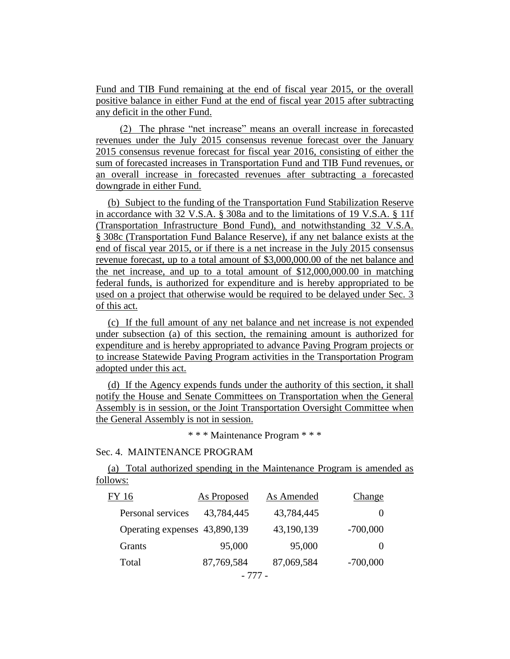Fund and TIB Fund remaining at the end of fiscal year 2015, or the overall positive balance in either Fund at the end of fiscal year 2015 after subtracting any deficit in the other Fund.

(2) The phrase "net increase" means an overall increase in forecasted revenues under the July 2015 consensus revenue forecast over the January 2015 consensus revenue forecast for fiscal year 2016, consisting of either the sum of forecasted increases in Transportation Fund and TIB Fund revenues, or an overall increase in forecasted revenues after subtracting a forecasted downgrade in either Fund.

(b) Subject to the funding of the Transportation Fund Stabilization Reserve in accordance with 32 V.S.A. § 308a and to the limitations of 19 V.S.A. § 11f (Transportation Infrastructure Bond Fund), and notwithstanding 32 V.S.A. § 308c (Transportation Fund Balance Reserve), if any net balance exists at the end of fiscal year 2015, or if there is a net increase in the July 2015 consensus revenue forecast, up to a total amount of \$3,000,000.00 of the net balance and the net increase, and up to a total amount of \$12,000,000.00 in matching federal funds, is authorized for expenditure and is hereby appropriated to be used on a project that otherwise would be required to be delayed under Sec. 3 of this act.

(c) If the full amount of any net balance and net increase is not expended under subsection (a) of this section, the remaining amount is authorized for expenditure and is hereby appropriated to advance Paving Program projects or to increase Statewide Paving Program activities in the Transportation Program adopted under this act.

(d) If the Agency expends funds under the authority of this section, it shall notify the House and Senate Committees on Transportation when the General Assembly is in session, or the Joint Transportation Oversight Committee when the General Assembly is not in session.

\* \* \* Maintenance Program \* \* \*

## Sec. 4. MAINTENANCE PROGRAM

(a) Total authorized spending in the Maintenance Program is amended as follows:

| FY 16                         | As Proposed | As Amended | Change     |
|-------------------------------|-------------|------------|------------|
| Personal services             | 43,784,445  | 43,784,445 | $\theta$   |
| Operating expenses 43,890,139 |             | 43,190,139 | $-700,000$ |
| Grants                        | 95,000      | 95,000     | $\theta$   |
| Total                         | 87,769,584  | 87,069,584 | $-700,000$ |
|                               |             |            |            |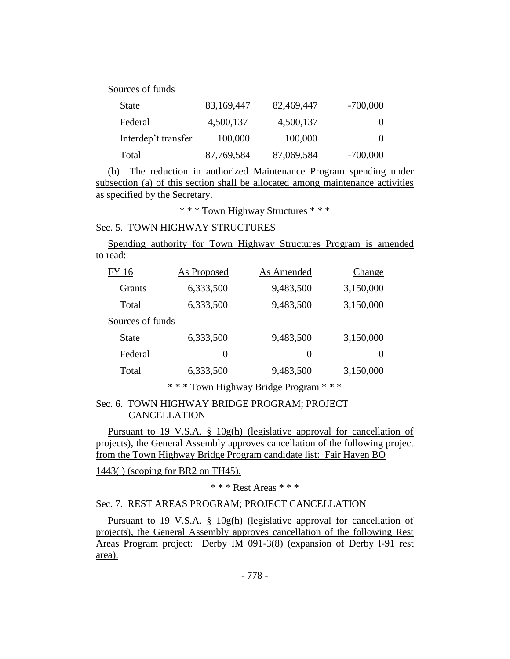| Sources of funds    |            |            |            |
|---------------------|------------|------------|------------|
| <b>State</b>        | 83,169,447 | 82,469,447 | $-700,000$ |
| Federal             | 4,500,137  | 4,500,137  | $\theta$   |
| Interdep't transfer | 100,000    | 100,000    | $\theta$   |
| Total               | 87,769,584 | 87,069,584 | $-700,000$ |

(b) The reduction in authorized Maintenance Program spending under subsection (a) of this section shall be allocated among maintenance activities as specified by the Secretary.

\* \* \* Town Highway Structures \* \* \*

## Sec. 5. TOWN HIGHWAY STRUCTURES

Spending authority for Town Highway Structures Program is amended to read:

| 6,333,500<br>9,483,500<br><b>Grants</b><br>9,483,500<br>6,333,500<br>Total<br>Sources of funds<br>9,483,500<br>6,333,500<br><b>State</b><br>Federal<br>$\theta$<br>$\theta$<br>9,483,500<br>6,333,500<br>Total | FY 16 | As Proposed | As Amended | Change    |
|----------------------------------------------------------------------------------------------------------------------------------------------------------------------------------------------------------------|-------|-------------|------------|-----------|
|                                                                                                                                                                                                                |       |             |            | 3,150,000 |
|                                                                                                                                                                                                                |       |             |            | 3,150,000 |
|                                                                                                                                                                                                                |       |             |            |           |
|                                                                                                                                                                                                                |       |             |            | 3,150,000 |
|                                                                                                                                                                                                                |       |             |            | $\theta$  |
|                                                                                                                                                                                                                |       |             |            | 3,150,000 |

\* \* \* Town Highway Bridge Program \* \* \*

## Sec. 6. TOWN HIGHWAY BRIDGE PROGRAM; PROJECT CANCELLATION

Pursuant to 19 V.S.A. § 10g(h) (legislative approval for cancellation of projects), the General Assembly approves cancellation of the following project from the Town Highway Bridge Program candidate list: Fair Haven BO

1443( ) (scoping for BR2 on TH45).

\* \* \* Rest Areas \* \* \*

## Sec. 7. REST AREAS PROGRAM; PROJECT CANCELLATION

Pursuant to 19 V.S.A. § 10g(h) (legislative approval for cancellation of projects), the General Assembly approves cancellation of the following Rest Areas Program project: Derby IM 091-3(8) (expansion of Derby I-91 rest area).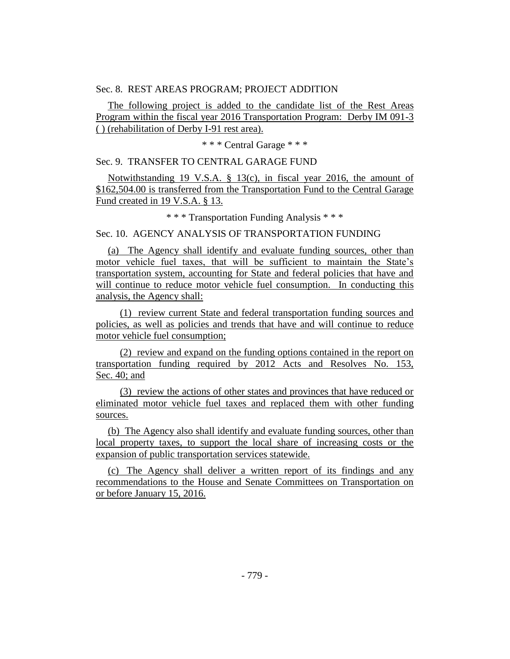## Sec. 8. REST AREAS PROGRAM; PROJECT ADDITION

The following project is added to the candidate list of the Rest Areas Program within the fiscal year 2016 Transportation Program: Derby IM 091-3 ( ) (rehabilitation of Derby I-91 rest area).

\* \* \* Central Garage \* \* \*

Sec. 9. TRANSFER TO CENTRAL GARAGE FUND

Notwithstanding 19 V.S.A. § 13(c), in fiscal year 2016, the amount of \$162,504.00 is transferred from the Transportation Fund to the Central Garage Fund created in 19 V.S.A. § 13.

\* \* \* Transportation Funding Analysis \* \* \*

Sec. 10. AGENCY ANALYSIS OF TRANSPORTATION FUNDING

(a) The Agency shall identify and evaluate funding sources, other than motor vehicle fuel taxes, that will be sufficient to maintain the State's transportation system, accounting for State and federal policies that have and will continue to reduce motor vehicle fuel consumption. In conducting this analysis, the Agency shall:

(1) review current State and federal transportation funding sources and policies, as well as policies and trends that have and will continue to reduce motor vehicle fuel consumption;

(2) review and expand on the funding options contained in the report on transportation funding required by 2012 Acts and Resolves No. 153, Sec. 40; and

(3) review the actions of other states and provinces that have reduced or eliminated motor vehicle fuel taxes and replaced them with other funding sources.

(b) The Agency also shall identify and evaluate funding sources, other than local property taxes, to support the local share of increasing costs or the expansion of public transportation services statewide.

(c) The Agency shall deliver a written report of its findings and any recommendations to the House and Senate Committees on Transportation on or before January 15, 2016.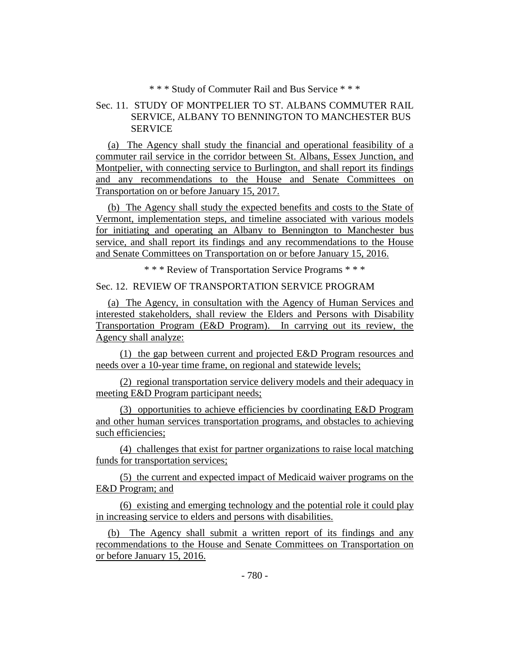\* \* \* Study of Commuter Rail and Bus Service \* \* \*

## Sec. 11. STUDY OF MONTPELIER TO ST. ALBANS COMMUTER RAIL SERVICE, ALBANY TO BENNINGTON TO MANCHESTER BUS SERVICE

(a) The Agency shall study the financial and operational feasibility of a commuter rail service in the corridor between St. Albans, Essex Junction, and Montpelier, with connecting service to Burlington, and shall report its findings and any recommendations to the House and Senate Committees on Transportation on or before January 15, 2017.

(b) The Agency shall study the expected benefits and costs to the State of Vermont, implementation steps, and timeline associated with various models for initiating and operating an Albany to Bennington to Manchester bus service, and shall report its findings and any recommendations to the House and Senate Committees on Transportation on or before January 15, 2016.

\* \* \* Review of Transportation Service Programs \* \* \*

## Sec. 12. REVIEW OF TRANSPORTATION SERVICE PROGRAM

(a) The Agency, in consultation with the Agency of Human Services and interested stakeholders, shall review the Elders and Persons with Disability Transportation Program (E&D Program). In carrying out its review, the Agency shall analyze:

(1) the gap between current and projected E&D Program resources and needs over a 10-year time frame, on regional and statewide levels;

(2) regional transportation service delivery models and their adequacy in meeting E&D Program participant needs;

(3) opportunities to achieve efficiencies by coordinating E&D Program and other human services transportation programs, and obstacles to achieving such efficiencies;

(4) challenges that exist for partner organizations to raise local matching funds for transportation services;

(5) the current and expected impact of Medicaid waiver programs on the E&D Program; and

(6) existing and emerging technology and the potential role it could play in increasing service to elders and persons with disabilities.

(b) The Agency shall submit a written report of its findings and any recommendations to the House and Senate Committees on Transportation on or before January 15, 2016.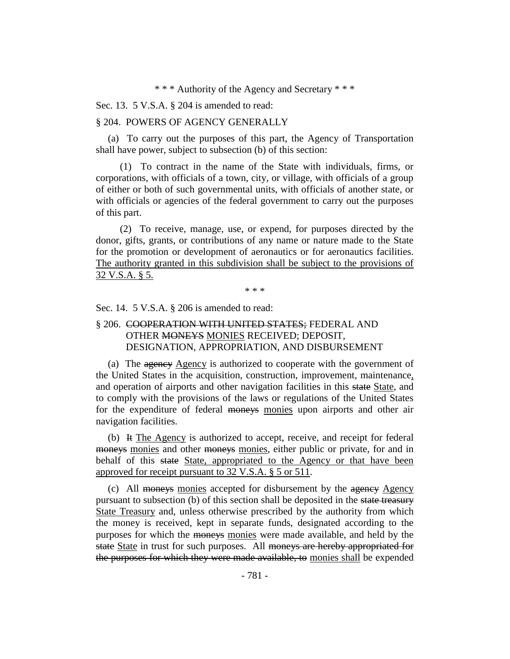\* \* \* Authority of the Agency and Secretary \* \* \*

Sec. 13. 5 V.S.A. § 204 is amended to read:

#### § 204. POWERS OF AGENCY GENERALLY

(a) To carry out the purposes of this part, the Agency of Transportation shall have power, subject to subsection (b) of this section:

(1) To contract in the name of the State with individuals, firms, or corporations, with officials of a town, city, or village, with officials of a group of either or both of such governmental units, with officials of another state, or with officials or agencies of the federal government to carry out the purposes of this part.

(2) To receive, manage, use, or expend, for purposes directed by the donor, gifts, grants, or contributions of any name or nature made to the State for the promotion or development of aeronautics or for aeronautics facilities. The authority granted in this subdivision shall be subject to the provisions of 32 V.S.A. § 5.

\* \* \*

Sec. 14. 5 V.S.A. § 206 is amended to read:

## § 206. COOPERATION WITH UNITED STATES; FEDERAL AND OTHER MONEYS MONIES RECEIVED; DEPOSIT, DESIGNATION, APPROPRIATION, AND DISBURSEMENT

(a) The agency Agency is authorized to cooperate with the government of the United States in the acquisition, construction, improvement, maintenance, and operation of airports and other navigation facilities in this state State, and to comply with the provisions of the laws or regulations of the United States for the expenditure of federal moneys monies upon airports and other air navigation facilities.

(b) It The Agency is authorized to accept, receive, and receipt for federal moneys monies and other moneys monies, either public or private, for and in behalf of this state State, appropriated to the Agency or that have been approved for receipt pursuant to 32 V.S.A. § 5 or 511.

(c) All moneys monies accepted for disbursement by the agency Agency pursuant to subsection (b) of this section shall be deposited in the state treasury State Treasury and, unless otherwise prescribed by the authority from which the money is received, kept in separate funds, designated according to the purposes for which the moneys monies were made available, and held by the state State in trust for such purposes. All moneys are hereby appropriated for the purposes for which they were made available, to monies shall be expended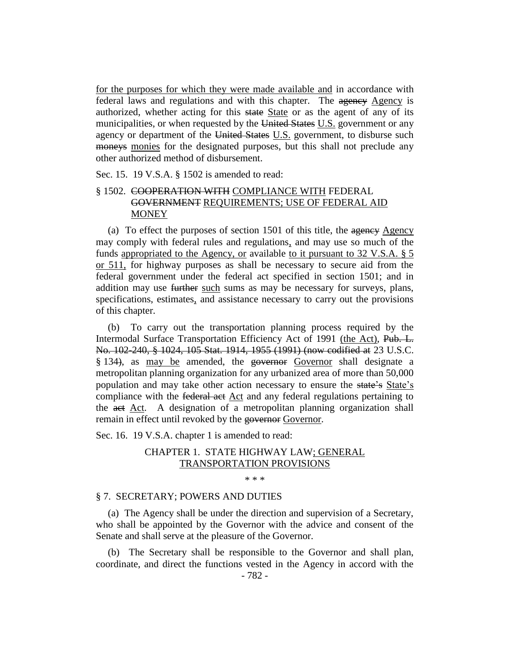for the purposes for which they were made available and in accordance with federal laws and regulations and with this chapter. The agency Agency is authorized, whether acting for this state State or as the agent of any of its municipalities, or when requested by the United States U.S. government or any agency or department of the United States U.S. government, to disburse such moneys monies for the designated purposes, but this shall not preclude any other authorized method of disbursement.

Sec. 15. 19 V.S.A. § 1502 is amended to read:

## § 1502. COOPERATION WITH COMPLIANCE WITH FEDERAL GOVERNMENT REQUIREMENTS; USE OF FEDERAL AID **MONEY**

(a) To effect the purposes of section  $1501$  of this title, the agency Agency may comply with federal rules and regulations, and may use so much of the funds appropriated to the Agency, or available to it pursuant to 32 V.S.A. § 5 or 511, for highway purposes as shall be necessary to secure aid from the federal government under the federal act specified in section 1501; and in addition may use further such sums as may be necessary for surveys, plans, specifications, estimates, and assistance necessary to carry out the provisions of this chapter.

(b) To carry out the transportation planning process required by the Intermodal Surface Transportation Efficiency Act of 1991 (the Act), Pub. L. No. 102-240, § 1024, 105 Stat. 1914, 1955 (1991) (now codified at 23 U.S.C. § 134), as may be amended, the governor Governor shall designate a metropolitan planning organization for any urbanized area of more than 50,000 population and may take other action necessary to ensure the state's State's compliance with the federal act Act and any federal regulations pertaining to the act Act. A designation of a metropolitan planning organization shall remain in effect until revoked by the governor Governor.

Sec. 16. 19 V.S.A. chapter 1 is amended to read:

## CHAPTER 1. STATE HIGHWAY LAW; GENERAL TRANSPORTATION PROVISIONS

\* \* \*

#### § 7. SECRETARY; POWERS AND DUTIES

(a) The Agency shall be under the direction and supervision of a Secretary, who shall be appointed by the Governor with the advice and consent of the Senate and shall serve at the pleasure of the Governor.

(b) The Secretary shall be responsible to the Governor and shall plan, coordinate, and direct the functions vested in the Agency in accord with the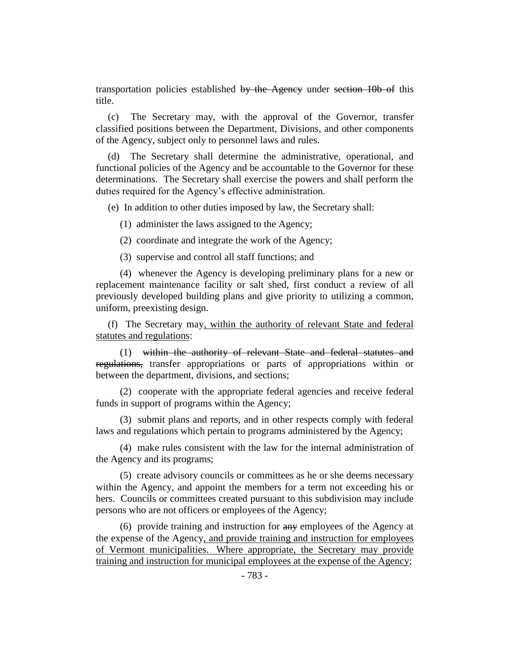transportation policies established by the Agency under section 10b of this title.

(c) The Secretary may, with the approval of the Governor, transfer classified positions between the Department, Divisions, and other components of the Agency, subject only to personnel laws and rules.

(d) The Secretary shall determine the administrative, operational, and functional policies of the Agency and be accountable to the Governor for these determinations. The Secretary shall exercise the powers and shall perform the duties required for the Agency's effective administration.

(e) In addition to other duties imposed by law, the Secretary shall:

(1) administer the laws assigned to the Agency;

(2) coordinate and integrate the work of the Agency;

(3) supervise and control all staff functions; and

(4) whenever the Agency is developing preliminary plans for a new or replacement maintenance facility or salt shed, first conduct a review of all previously developed building plans and give priority to utilizing a common, uniform, preexisting design.

(f) The Secretary may, within the authority of relevant State and federal statutes and regulations:

(1) within the authority of relevant State and federal statutes and regulations, transfer appropriations or parts of appropriations within or between the department, divisions, and sections;

(2) cooperate with the appropriate federal agencies and receive federal funds in support of programs within the Agency;

(3) submit plans and reports, and in other respects comply with federal laws and regulations which pertain to programs administered by the Agency;

(4) make rules consistent with the law for the internal administration of the Agency and its programs;

(5) create advisory councils or committees as he or she deems necessary within the Agency, and appoint the members for a term not exceeding his or hers. Councils or committees created pursuant to this subdivision may include persons who are not officers or employees of the Agency;

(6) provide training and instruction for any employees of the Agency at the expense of the Agency, and provide training and instruction for employees of Vermont municipalities. Where appropriate, the Secretary may provide training and instruction for municipal employees at the expense of the Agency;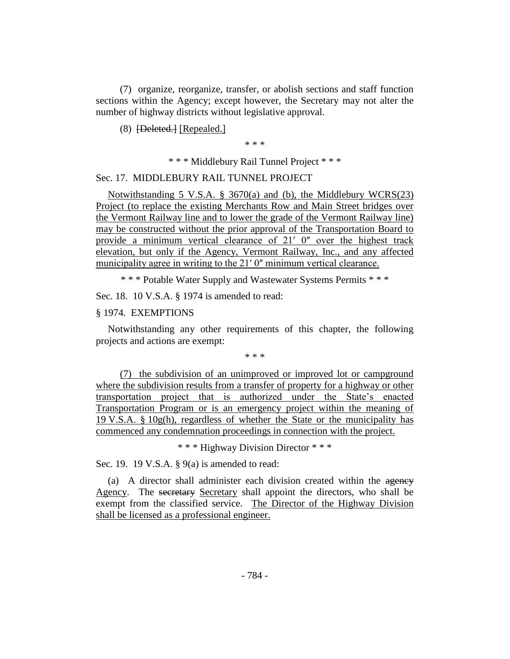(7) organize, reorganize, transfer, or abolish sections and staff function sections within the Agency; except however, the Secretary may not alter the number of highway districts without legislative approval.

(8) [Deleted.] [Repealed.]

\* \* \*

\* \* \* Middlebury Rail Tunnel Project \* \* \*

Sec. 17. MIDDLEBURY RAIL TUNNEL PROJECT

Notwithstanding 5 V.S.A. § 3670(a) and (b), the Middlebury WCRS(23) Project (to replace the existing Merchants Row and Main Street bridges over the Vermont Railway line and to lower the grade of the Vermont Railway line) may be constructed without the prior approval of the Transportation Board to provide a minimum vertical clearance of 21' 0" over the highest track elevation, but only if the Agency, Vermont Railway, Inc., and any affected municipality agree in writing to the 21' 0" minimum vertical clearance.

\* \* \* Potable Water Supply and Wastewater Systems Permits \* \* \*

Sec. 18. 10 V.S.A. § 1974 is amended to read:

§ 1974. EXEMPTIONS

Notwithstanding any other requirements of this chapter, the following projects and actions are exempt:

\* \* \*

(7) the subdivision of an unimproved or improved lot or campground where the subdivision results from a transfer of property for a highway or other transportation project that is authorized under the State's enacted Transportation Program or is an emergency project within the meaning of 19 V.S.A.  $\S$  10g(h), regardless of whether the State or the municipality has commenced any condemnation proceedings in connection with the project.

\* \* \* Highway Division Director \* \* \*

Sec. 19. 19 V.S.A. § 9(a) is amended to read:

(a) A director shall administer each division created within the agency Agency. The secretary Secretary shall appoint the directors, who shall be exempt from the classified service. The Director of the Highway Division shall be licensed as a professional engineer.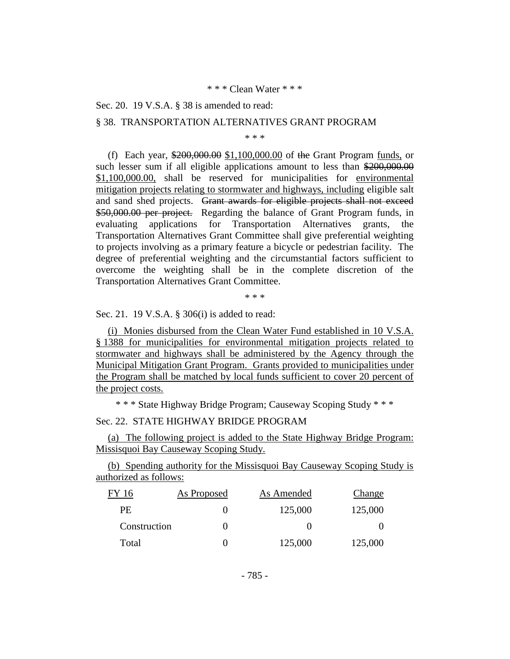#### \* \* \* Clean Water \* \* \*

Sec. 20. 19 V.S.A. § 38 is amended to read:

#### § 38. TRANSPORTATION ALTERNATIVES GRANT PROGRAM

\* \* \*

(f) Each year, \$200,000.00 \$1,100,000.00 of the Grant Program funds, or such lesser sum if all eligible applications amount to less than \$200,000.00 \$1,100,000.00, shall be reserved for municipalities for environmental mitigation projects relating to stormwater and highways, including eligible salt and sand shed projects. Grant awards for eligible projects shall not exceed \$50,000.00 per project. Regarding the balance of Grant Program funds, in evaluating applications for Transportation Alternatives grants, the Transportation Alternatives Grant Committee shall give preferential weighting to projects involving as a primary feature a bicycle or pedestrian facility. The degree of preferential weighting and the circumstantial factors sufficient to overcome the weighting shall be in the complete discretion of the Transportation Alternatives Grant Committee.

\* \* \*

Sec. 21. 19 V.S.A. § 306(i) is added to read:

(i) Monies disbursed from the Clean Water Fund established in 10 V.S.A. § 1388 for municipalities for environmental mitigation projects related to stormwater and highways shall be administered by the Agency through the Municipal Mitigation Grant Program. Grants provided to municipalities under the Program shall be matched by local funds sufficient to cover 20 percent of the project costs.

\* \* \* State Highway Bridge Program; Causeway Scoping Study \* \* \*

## Sec. 22. STATE HIGHWAY BRIDGE PROGRAM

(a) The following project is added to the State Highway Bridge Program: Missisquoi Bay Causeway Scoping Study.

(b) Spending authority for the Missisquoi Bay Causeway Scoping Study is authorized as follows:

| FY 16        | As Proposed | As Amended | Change  |
|--------------|-------------|------------|---------|
| PE           |             | 125,000    | 125,000 |
| Construction |             |            |         |
| Total        |             | 125,000    | 125,000 |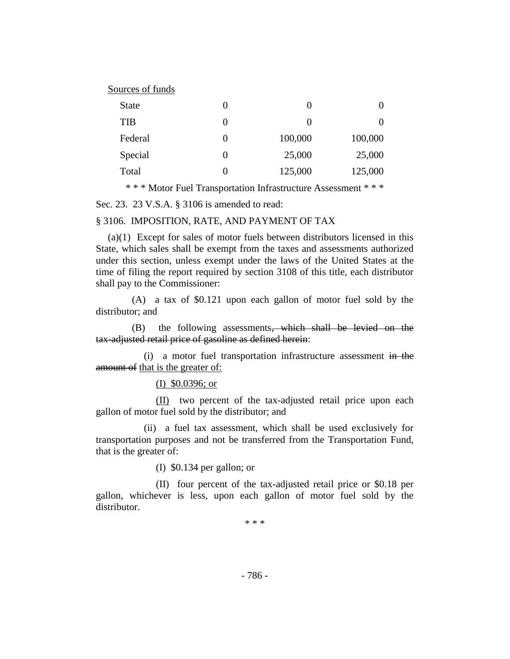| Sources of funds |  |
|------------------|--|
|------------------|--|

| <b>State</b> | 0        |         | 0                 |
|--------------|----------|---------|-------------------|
| <b>TIB</b>   | $\theta$ |         | $\mathbf{\Omega}$ |
| Federal      | $\theta$ | 100,000 | 100,000           |
| Special      | $\theta$ | 25,000  | 25,000            |
| Total        | $\theta$ | 125,000 | 125,000           |

\* \* \* Motor Fuel Transportation Infrastructure Assessment \* \* \*

Sec. 23. 23 V.S.A. § 3106 is amended to read:

#### § 3106. IMPOSITION, RATE, AND PAYMENT OF TAX

(a)(1) Except for sales of motor fuels between distributors licensed in this State, which sales shall be exempt from the taxes and assessments authorized under this section, unless exempt under the laws of the United States at the time of filing the report required by section 3108 of this title, each distributor shall pay to the Commissioner:

(A) a tax of \$0.121 upon each gallon of motor fuel sold by the distributor; and

(B) the following assessments, which shall be levied on the tax-adjusted retail price of gasoline as defined herein:

(i) a motor fuel transportation infrastructure assessment in the amount of that is the greater of:

(I) \$0.0396; or

(II) two percent of the tax-adjusted retail price upon each gallon of motor fuel sold by the distributor; and

(ii) a fuel tax assessment, which shall be used exclusively for transportation purposes and not be transferred from the Transportation Fund, that is the greater of:

(I) \$0.134 per gallon; or

(II) four percent of the tax-adjusted retail price or \$0.18 per gallon, whichever is less, upon each gallon of motor fuel sold by the distributor.

\* \* \*

- 786 -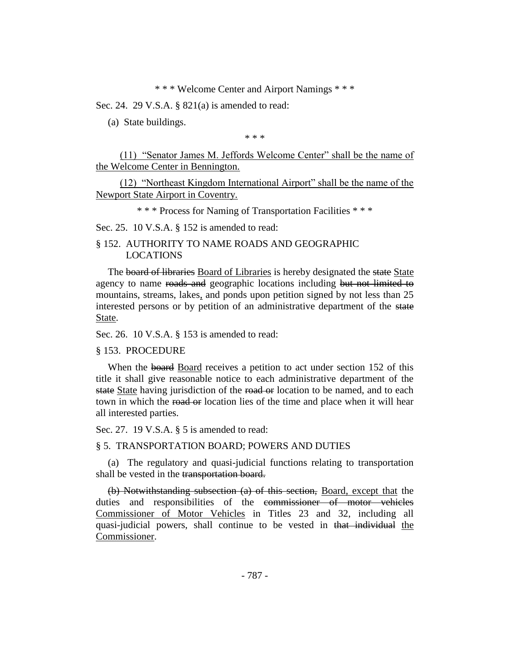\* \* \* Welcome Center and Airport Namings \* \* \*

Sec. 24. 29 V.S.A. § 821(a) is amended to read:

(a) State buildings.

\* \* \*

(11) "Senator James M. Jeffords Welcome Center" shall be the name of the Welcome Center in Bennington.

(12) "Northeast Kingdom International Airport" shall be the name of the Newport State Airport in Coventry.

\* \* \* Process for Naming of Transportation Facilities \* \* \*

Sec. 25. 10 V.S.A. § 152 is amended to read:

## § 152. AUTHORITY TO NAME ROADS AND GEOGRAPHIC LOCATIONS

The board of libraries Board of Libraries is hereby designated the state State agency to name roads and geographic locations including but not limited to mountains, streams, lakes, and ponds upon petition signed by not less than 25 interested persons or by petition of an administrative department of the state State.

Sec. 26. 10 V.S.A. § 153 is amended to read:

§ 153. PROCEDURE

When the board Board receives a petition to act under section 152 of this title it shall give reasonable notice to each administrative department of the state State having jurisdiction of the road or location to be named, and to each town in which the road or location lies of the time and place when it will hear all interested parties.

Sec. 27. 19 V.S.A. § 5 is amended to read:

§ 5. TRANSPORTATION BOARD; POWERS AND DUTIES

(a) The regulatory and quasi-judicial functions relating to transportation shall be vested in the transportation board.

(b) Notwithstanding subsection (a) of this section, Board, except that the duties and responsibilities of the commissioner of motor vehicles Commissioner of Motor Vehicles in Titles 23 and 32, including all quasi-judicial powers, shall continue to be vested in that individual the Commissioner.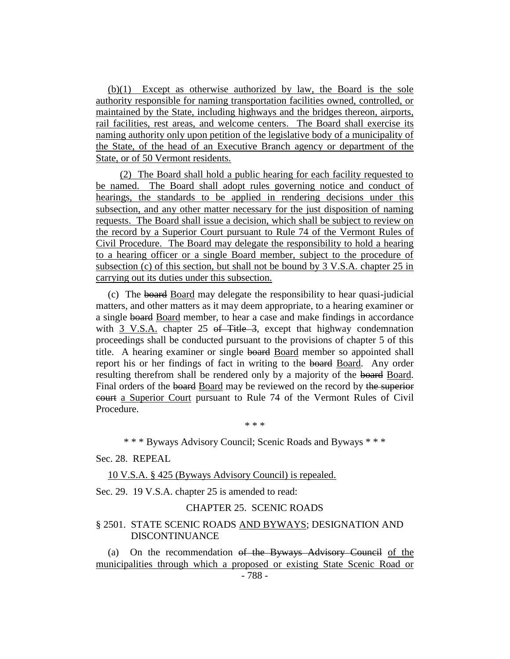(b)(1) Except as otherwise authorized by law, the Board is the sole authority responsible for naming transportation facilities owned, controlled, or maintained by the State, including highways and the bridges thereon, airports, rail facilities, rest areas, and welcome centers. The Board shall exercise its naming authority only upon petition of the legislative body of a municipality of the State, of the head of an Executive Branch agency or department of the State, or of 50 Vermont residents.

(2) The Board shall hold a public hearing for each facility requested to be named. The Board shall adopt rules governing notice and conduct of hearings, the standards to be applied in rendering decisions under this subsection, and any other matter necessary for the just disposition of naming requests. The Board shall issue a decision, which shall be subject to review on the record by a Superior Court pursuant to Rule 74 of the Vermont Rules of Civil Procedure. The Board may delegate the responsibility to hold a hearing to a hearing officer or a single Board member, subject to the procedure of subsection (c) of this section, but shall not be bound by 3 V.S.A. chapter 25 in carrying out its duties under this subsection.

(c) The board Board may delegate the responsibility to hear quasi-judicial matters, and other matters as it may deem appropriate, to a hearing examiner or a single board Board member, to hear a case and make findings in accordance with 3 V.S.A. chapter 25 of Title 3, except that highway condemnation proceedings shall be conducted pursuant to the provisions of chapter 5 of this title. A hearing examiner or single board Board member so appointed shall report his or her findings of fact in writing to the board Board. Any order resulting therefrom shall be rendered only by a majority of the board Board. Final orders of the board Board may be reviewed on the record by the superior court a Superior Court pursuant to Rule 74 of the Vermont Rules of Civil Procedure.

\* \* \*

\* \* \* Byways Advisory Council; Scenic Roads and Byways \* \* \*

#### Sec. 28. REPEAL

#### 10 V.S.A. § 425 (Byways Advisory Council) is repealed.

Sec. 29. 19 V.S.A. chapter 25 is amended to read:

#### CHAPTER 25. SCENIC ROADS

## § 2501. STATE SCENIC ROADS AND BYWAYS; DESIGNATION AND DISCONTINUANCE

(a) On the recommendation of the Byways Advisory Council of the municipalities through which a proposed or existing State Scenic Road or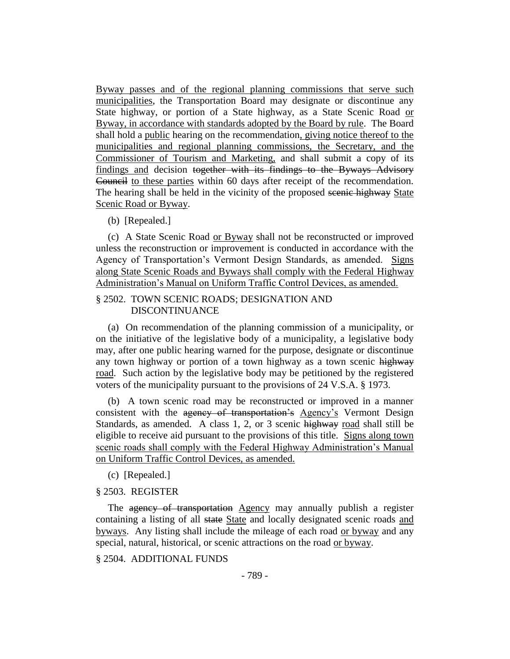Byway passes and of the regional planning commissions that serve such municipalities, the Transportation Board may designate or discontinue any State highway, or portion of a State highway, as a State Scenic Road or Byway, in accordance with standards adopted by the Board by rule. The Board shall hold a public hearing on the recommendation, giving notice thereof to the municipalities and regional planning commissions, the Secretary, and the Commissioner of Tourism and Marketing, and shall submit a copy of its findings and decision together with its findings to the Byways Advisory Council to these parties within 60 days after receipt of the recommendation. The hearing shall be held in the vicinity of the proposed scenic highway State Scenic Road or Byway.

## (b) [Repealed.]

(c) A State Scenic Road or Byway shall not be reconstructed or improved unless the reconstruction or improvement is conducted in accordance with the Agency of Transportation's Vermont Design Standards, as amended. Signs along State Scenic Roads and Byways shall comply with the Federal Highway Administration's Manual on Uniform Traffic Control Devices, as amended.

## § 2502. TOWN SCENIC ROADS; DESIGNATION AND DISCONTINUANCE

(a) On recommendation of the planning commission of a municipality, or on the initiative of the legislative body of a municipality, a legislative body may, after one public hearing warned for the purpose, designate or discontinue any town highway or portion of a town highway as a town scenic highway road. Such action by the legislative body may be petitioned by the registered voters of the municipality pursuant to the provisions of 24 V.S.A. § 1973.

(b) A town scenic road may be reconstructed or improved in a manner consistent with the agency of transportation's Agency's Vermont Design Standards, as amended. A class 1, 2, or 3 scenic highway road shall still be eligible to receive aid pursuant to the provisions of this title. Signs along town scenic roads shall comply with the Federal Highway Administration's Manual on Uniform Traffic Control Devices, as amended.

(c) [Repealed.]

## § 2503. REGISTER

The agency of transportation Agency may annually publish a register containing a listing of all state State and locally designated scenic roads and byways. Any listing shall include the mileage of each road or byway and any special, natural, historical, or scenic attractions on the road or byway.

§ 2504. ADDITIONAL FUNDS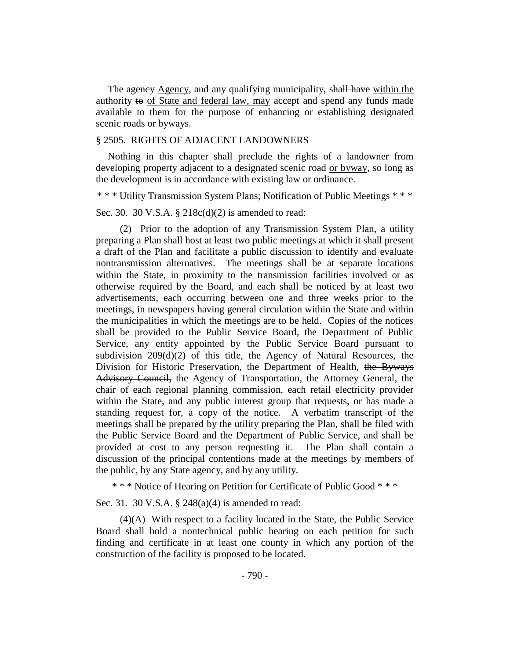The agency Agency, and any qualifying municipality, shall have within the authority to of State and federal law, may accept and spend any funds made available to them for the purpose of enhancing or establishing designated scenic roads or byways.

## § 2505. RIGHTS OF ADJACENT LANDOWNERS

Nothing in this chapter shall preclude the rights of a landowner from developing property adjacent to a designated scenic road or byway, so long as the development is in accordance with existing law or ordinance.

\* \* \* Utility Transmission System Plans; Notification of Public Meetings \* \* \*

Sec. 30. 30 V.S.A. § 218c(d)(2) is amended to read:

(2) Prior to the adoption of any Transmission System Plan, a utility preparing a Plan shall host at least two public meetings at which it shall present a draft of the Plan and facilitate a public discussion to identify and evaluate nontransmission alternatives. The meetings shall be at separate locations within the State, in proximity to the transmission facilities involved or as otherwise required by the Board, and each shall be noticed by at least two advertisements, each occurring between one and three weeks prior to the meetings, in newspapers having general circulation within the State and within the municipalities in which the meetings are to be held. Copies of the notices shall be provided to the Public Service Board, the Department of Public Service, any entity appointed by the Public Service Board pursuant to subdivision  $209(d)(2)$  of this title, the Agency of Natural Resources, the Division for Historic Preservation, the Department of Health, the Byways Advisory Council, the Agency of Transportation, the Attorney General, the chair of each regional planning commission, each retail electricity provider within the State, and any public interest group that requests, or has made a standing request for, a copy of the notice. A verbatim transcript of the meetings shall be prepared by the utility preparing the Plan, shall be filed with the Public Service Board and the Department of Public Service, and shall be provided at cost to any person requesting it. The Plan shall contain a discussion of the principal contentions made at the meetings by members of the public, by any State agency, and by any utility.

\* \* \* Notice of Hearing on Petition for Certificate of Public Good \* \* \*

Sec. 31. 30 V.S.A. § 248(a)(4) is amended to read:

(4)(A) With respect to a facility located in the State, the Public Service Board shall hold a nontechnical public hearing on each petition for such finding and certificate in at least one county in which any portion of the construction of the facility is proposed to be located.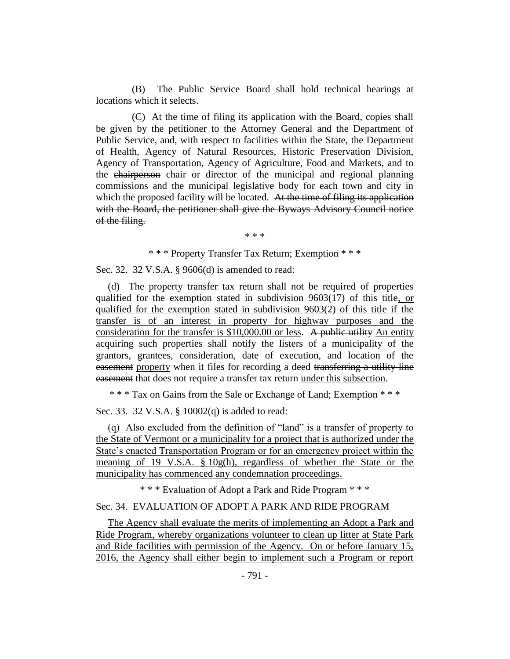(B) The Public Service Board shall hold technical hearings at locations which it selects.

(C) At the time of filing its application with the Board, copies shall be given by the petitioner to the Attorney General and the Department of Public Service, and, with respect to facilities within the State, the Department of Health, Agency of Natural Resources, Historic Preservation Division, Agency of Transportation, Agency of Agriculture, Food and Markets, and to the chairperson chair or director of the municipal and regional planning commissions and the municipal legislative body for each town and city in which the proposed facility will be located. At the time of filing its application with the Board, the petitioner shall give the Byways Advisory Council notice of the filing.

\* \* \*

## \* \* \* Property Transfer Tax Return; Exemption \* \* \*

Sec. 32. 32 V.S.A. § 9606(d) is amended to read:

(d) The property transfer tax return shall not be required of properties qualified for the exemption stated in subdivision 9603(17) of this title, or qualified for the exemption stated in subdivision 9603(2) of this title if the transfer is of an interest in property for highway purposes and the consideration for the transfer is \$10,000.00 or less. A public utility An entity acquiring such properties shall notify the listers of a municipality of the grantors, grantees, consideration, date of execution, and location of the easement property when it files for recording a deed transferring a utility line easement that does not require a transfer tax return under this subsection.

\* \* \* Tax on Gains from the Sale or Exchange of Land; Exemption \* \* \*

Sec. 33. 32 V.S.A. § 10002(q) is added to read:

(q) Also excluded from the definition of "land" is a transfer of property to the State of Vermont or a municipality for a project that is authorized under the State's enacted Transportation Program or for an emergency project within the meaning of 19 V.S.A. § 10g(h), regardless of whether the State or the municipality has commenced any condemnation proceedings.

\* \* \* Evaluation of Adopt a Park and Ride Program \* \* \*

## Sec. 34. EVALUATION OF ADOPT A PARK AND RIDE PROGRAM

The Agency shall evaluate the merits of implementing an Adopt a Park and Ride Program, whereby organizations volunteer to clean up litter at State Park and Ride facilities with permission of the Agency. On or before January 15, 2016, the Agency shall either begin to implement such a Program or report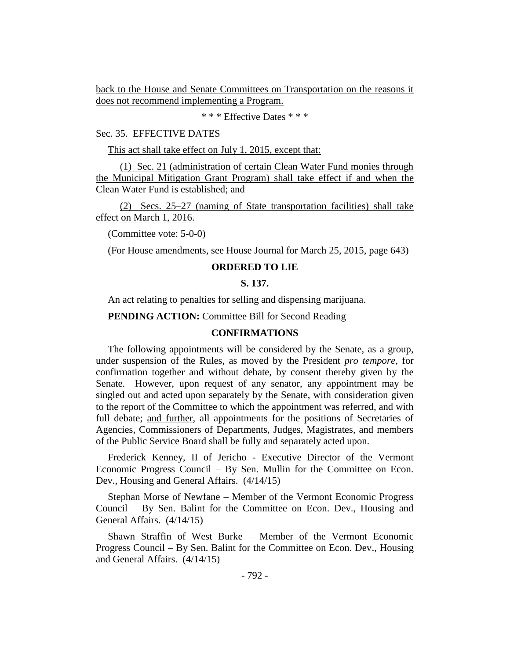back to the House and Senate Committees on Transportation on the reasons it does not recommend implementing a Program.

\* \* \* Effective Dates \* \* \*

## Sec. 35. EFFECTIVE DATES

This act shall take effect on July 1, 2015, except that:

(1) Sec. 21 (administration of certain Clean Water Fund monies through the Municipal Mitigation Grant Program) shall take effect if and when the Clean Water Fund is established; and

(2) Secs. 25–27 (naming of State transportation facilities) shall take effect on March 1, 2016.

(Committee vote: 5-0-0)

(For House amendments, see House Journal for March 25, 2015, page 643)

## **ORDERED TO LIE**

#### **S. 137.**

An act relating to penalties for selling and dispensing marijuana.

**PENDING ACTION:** Committee Bill for Second Reading

## **CONFIRMATIONS**

The following appointments will be considered by the Senate, as a group, under suspension of the Rules, as moved by the President *pro tempore,* for confirmation together and without debate, by consent thereby given by the Senate. However, upon request of any senator, any appointment may be singled out and acted upon separately by the Senate, with consideration given to the report of the Committee to which the appointment was referred, and with full debate; and further, all appointments for the positions of Secretaries of Agencies, Commissioners of Departments, Judges, Magistrates, and members of the Public Service Board shall be fully and separately acted upon.

Frederick Kenney, II of Jericho - Executive Director of the Vermont Economic Progress Council – By Sen. Mullin for the Committee on Econ. Dev., Housing and General Affairs. (4/14/15)

Stephan Morse of Newfane – Member of the Vermont Economic Progress Council – By Sen. Balint for the Committee on Econ. Dev., Housing and General Affairs. (4/14/15)

Shawn Straffin of West Burke – Member of the Vermont Economic Progress Council – By Sen. Balint for the Committee on Econ. Dev., Housing and General Affairs. (4/14/15)